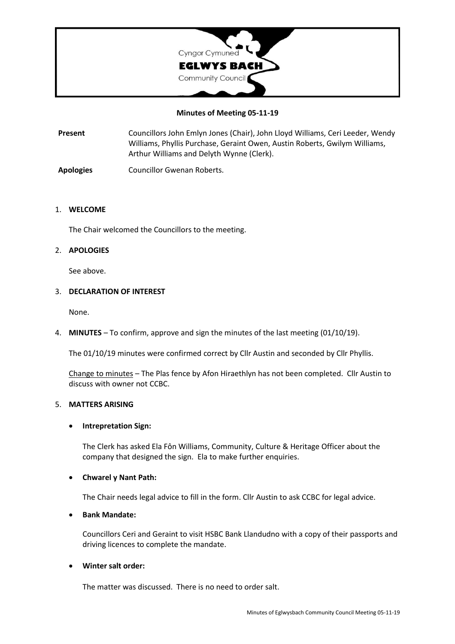

## **Minutes of Meeting 05-11-19**

**Present** Councillors John Emlyn Jones (Chair), John Lloyd Williams, Ceri Leeder, Wendy Williams, Phyllis Purchase, Geraint Owen, Austin Roberts, Gwilym Williams, Arthur Williams and Delyth Wynne (Clerk).

**Apologies** Councillor Gwenan Roberts.

#### 1. **WELCOME**

The Chair welcomed the Councillors to the meeting.

## 2. **APOLOGIES**

See above.

#### 3. **DECLARATION OF INTEREST**

None.

4. **MINUTES** – To confirm, approve and sign the minutes of the last meeting (01/10/19).

The 01/10/19 minutes were confirmed correct by Cllr Austin and seconded by Cllr Phyllis.

Change to minutes – The Plas fence by Afon Hiraethlyn has not been completed. Cllr Austin to discuss with owner not CCBC.

## 5. **MATTERS ARISING**

## • **Intrepretation Sign:**

The Clerk has asked Ela Fôn Williams, Community, Culture & Heritage Officer about the company that designed the sign. Ela to make further enquiries.

## • **Chwarel y Nant Path:**

The Chair needs legal advice to fill in the form. Cllr Austin to ask CCBC for legal advice.

# • **Bank Mandate:**

Councillors Ceri and Geraint to visit HSBC Bank Llandudno with a copy of their passports and driving licences to complete the mandate.

## • **Winter salt order:**

The matter was discussed. There is no need to order salt.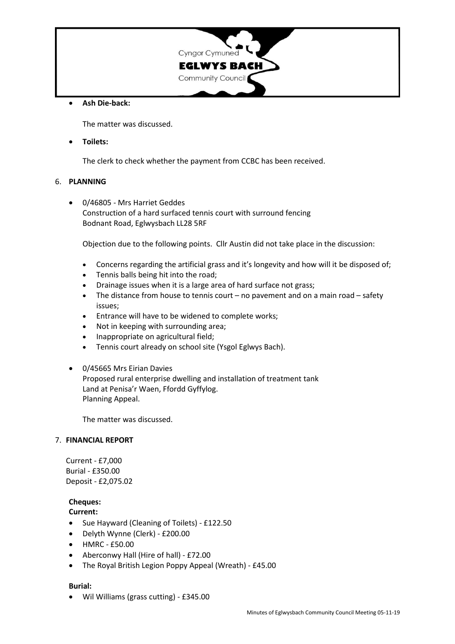

## • **Ash Die-back:**

The matter was discussed.

• **Toilets:**

The clerk to check whether the payment from CCBC has been received.

## 6. **PLANNING**

• 0/46805 - Mrs Harriet Geddes Construction of a hard surfaced tennis court with surround fencing Bodnant Road, Eglwysbach LL28 5RF

Objection due to the following points. Cllr Austin did not take place in the discussion:

- Concerns regarding the artificial grass and it's longevity and how will it be disposed of;
- Tennis balls being hit into the road;
- Drainage issues when it is a large area of hard surface not grass;
- The distance from house to tennis court no pavement and on a main road safety issues;
- Entrance will have to be widened to complete works;
- Not in keeping with surrounding area;
- Inappropriate on agricultural field;
- Tennis court already on school site (Ysgol Eglwys Bach).
- 0/45665 Mrs Eirian Davies Proposed rural enterprise dwelling and installation of treatment tank Land at Penisa'r Waen, Ffordd Gyffylog. Planning Appeal.

The matter was discussed.

#### 7. **FINANCIAL REPORT**

Current - £7,000 Burial - £350.00 Deposit - £2,075.02

# **Cheques:**

#### **Current:**

- Sue Hayward (Cleaning of Toilets) £122.50
- Delyth Wynne (Clerk) £200.00
- HMRC £50.00
- Aberconwy Hall (Hire of hall) £72.00
- The Royal British Legion Poppy Appeal (Wreath) £45.00

## **Burial:**

• Wil Williams (grass cutting) - £345.00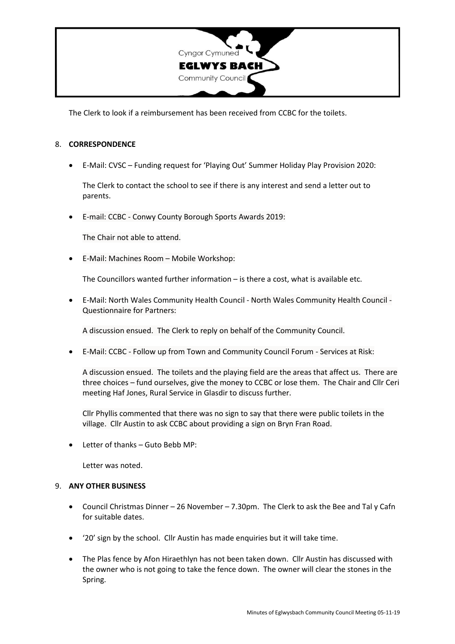

The Clerk to look if a reimbursement has been received from CCBC for the toilets.

#### 8. **CORRESPONDENCE**

• E-Mail: CVSC – Funding request for 'Playing Out' Summer Holiday Play Provision 2020:

The Clerk to contact the school to see if there is any interest and send a letter out to parents.

• E-mail: CCBC - Conwy County Borough Sports Awards 2019:

The Chair not able to attend.

• E-Mail: Machines Room – Mobile Workshop:

The Councillors wanted further information – is there a cost, what is available etc.

• E-Mail: North Wales Community Health Council - North Wales Community Health Council - Questionnaire for Partners:

A discussion ensued. The Clerk to reply on behalf of the Community Council.

• E-Mail: CCBC - Follow up from Town and Community Council Forum - Services at Risk:

A discussion ensued. The toilets and the playing field are the areas that affect us. There are three choices – fund ourselves, give the money to CCBC or lose them. The Chair and Cllr Ceri meeting Haf Jones, Rural Service in Glasdir to discuss further.

Cllr Phyllis commented that there was no sign to say that there were public toilets in the village. Cllr Austin to ask CCBC about providing a sign on Bryn Fran Road.

• Letter of thanks – Guto Bebb MP:

Letter was noted.

## 9. **ANY OTHER BUSINESS**

- Council Christmas Dinner 26 November 7.30pm. The Clerk to ask the Bee and Tal y Cafn for suitable dates.
- '20' sign by the school. Cllr Austin has made enquiries but it will take time.
- The Plas fence by Afon Hiraethlyn has not been taken down. Cllr Austin has discussed with the owner who is not going to take the fence down. The owner will clear the stones in the Spring.